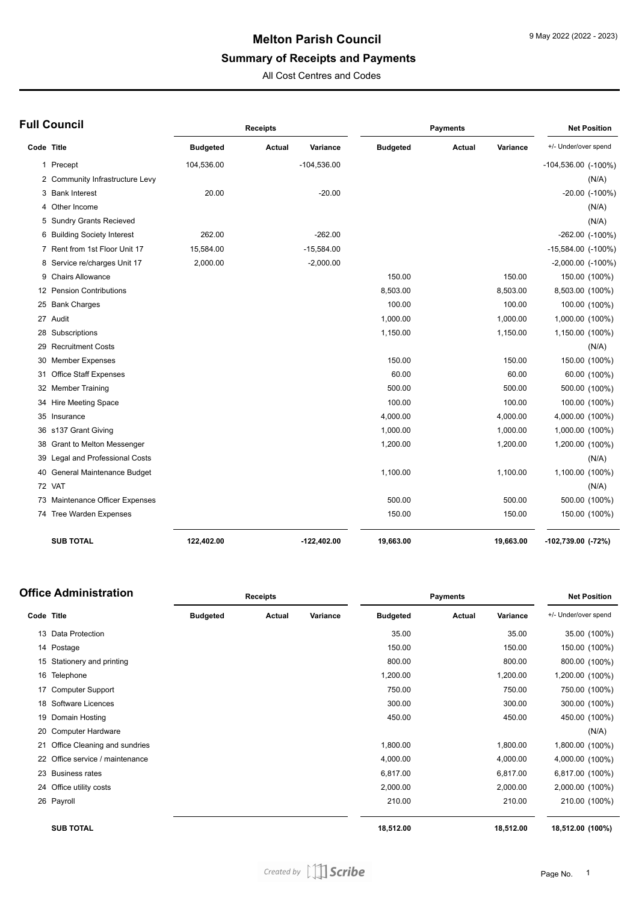# **Melton Parish Council**

### **Summary of Receipts and Payments**

All Cost Centres and Codes

|  | <b>Full Council</b> |  |
|--|---------------------|--|
|--|---------------------|--|

| ull Council                     |                                  |                 | <b>Receipts</b> |               |                 | <b>Payments</b> |           | <b>Net Position</b>      |
|---------------------------------|----------------------------------|-----------------|-----------------|---------------|-----------------|-----------------|-----------|--------------------------|
| Code Title                      |                                  | <b>Budgeted</b> | Actual          | Variance      | <b>Budgeted</b> | <b>Actual</b>   | Variance  | +/- Under/over spend     |
| 1 Precept                       |                                  | 104,536.00      |                 | $-104,536.00$ |                 |                 |           | $-104,536.00$ $(-100\%)$ |
|                                 | 2 Community Infrastructure Levy  |                 |                 |               |                 |                 |           | (N/A)                    |
| 3 Bank Interest                 |                                  | 20.00           |                 | $-20.00$      |                 |                 |           | $-20.00$ $(-100\%)$      |
| Other Income                    |                                  |                 |                 |               |                 |                 |           | (N/A)                    |
|                                 | 5 Sundry Grants Recieved         |                 |                 |               |                 |                 |           | (N/A)                    |
|                                 | 6 Building Society Interest      | 262.00          |                 | $-262.00$     |                 |                 |           | $-262.00$ $(-100\%)$     |
|                                 | 7 Rent from 1st Floor Unit 17    | 15,584.00       |                 | $-15,584.00$  |                 |                 |           | $-15,584.00$ $(-100\%)$  |
|                                 | 8 Service re/charges Unit 17     | 2,000.00        |                 | $-2,000.00$   |                 |                 |           | $-2,000.00$ $(-100\%)$   |
| <b>Chairs Allowance</b><br>9    |                                  |                 |                 |               | 150.00          |                 | 150.00    | 150.00 (100%)            |
| 12                              | <b>Pension Contributions</b>     |                 |                 |               | 8,503.00        |                 | 8,503.00  | 8,503.00 (100%)          |
| <b>Bank Charges</b><br>25       |                                  |                 |                 |               | 100.00          |                 | 100.00    | 100.00 (100%)            |
| Audit<br>27                     |                                  |                 |                 |               | 1,000.00        |                 | 1,000.00  | 1,000.00 (100%)          |
| Subscriptions<br>28             |                                  |                 |                 |               | 1,150.00        |                 | 1,150.00  | 1,150.00 (100%)          |
| <b>Recruitment Costs</b><br>29  |                                  |                 |                 |               |                 |                 |           | (N/A)                    |
| <b>Member Expenses</b><br>30    |                                  |                 |                 |               | 150.00          |                 | 150.00    | 150.00 (100%)            |
| 31                              | <b>Office Staff Expenses</b>     |                 |                 |               | 60.00           |                 | 60.00     | 60.00 (100%)             |
| <b>Member Training</b><br>32    |                                  |                 |                 |               | 500.00          |                 | 500.00    | 500.00 (100%)            |
| <b>Hire Meeting Space</b><br>34 |                                  |                 |                 |               | 100.00          |                 | 100.00    | 100.00 (100%)            |
| 35<br>Insurance                 |                                  |                 |                 |               | 4,000.00        |                 | 4,000.00  | 4,000.00 (100%)          |
| s137 Grant Giving<br>36         |                                  |                 |                 |               | 1,000.00        |                 | 1,000.00  | 1,000.00 (100%)          |
| 38                              | <b>Grant to Melton Messenger</b> |                 |                 |               | 1,200.00        |                 | 1,200.00  | 1,200.00 (100%)          |
| 39                              | Legal and Professional Costs     |                 |                 |               |                 |                 |           | (N/A)                    |
| 40                              | General Maintenance Budget       |                 |                 |               | 1,100.00        |                 | 1,100.00  | 1,100.00 (100%)          |
| 72 VAT                          |                                  |                 |                 |               |                 |                 |           | (N/A)                    |
| 73                              | Maintenance Officer Expenses     |                 |                 |               | 500.00          |                 | 500.00    | 500.00 (100%)            |
| 74 Tree Warden Expenses         |                                  |                 |                 |               | 150.00          |                 | 150.00    | 150.00 (100%)            |
| <b>SUB TOTAL</b>                |                                  | 122,402.00      |                 | $-122,402.00$ | 19,663.00       |                 | 19,663.00 | -102,739.00 (-72%)       |

|            | Office Administration        |                 | <b>Receipts</b> |          | <b>Payments</b> |        |           | <b>Net Position</b>  |  |
|------------|------------------------------|-----------------|-----------------|----------|-----------------|--------|-----------|----------------------|--|
| Code Title |                              | <b>Budgeted</b> | Actual          | Variance | <b>Budgeted</b> | Actual | Variance  | +/- Under/over spend |  |
| 13         | Data Protection              |                 |                 |          | 35.00           |        | 35.00     | 35.00 (100%)         |  |
|            | 14 Postage                   |                 |                 |          | 150.00          |        | 150.00    | 150.00 (100%)        |  |
| 15         | Stationery and printing      |                 |                 |          | 800.00          |        | 800.00    | 800.00 (100%)        |  |
| 16         | Telephone                    |                 |                 |          | 1,200.00        |        | 1,200.00  | 1,200.00 (100%)      |  |
| 17         | <b>Computer Support</b>      |                 |                 |          | 750.00          |        | 750.00    | 750.00 (100%)        |  |
|            | 18 Software Licences         |                 |                 |          | 300.00          |        | 300.00    | 300.00 (100%)        |  |
| 19         | Domain Hosting               |                 |                 |          | 450.00          |        | 450.00    | 450.00 (100%)        |  |
| 20         | Computer Hardware            |                 |                 |          |                 |        |           | (N/A)                |  |
| 21         | Office Cleaning and sundries |                 |                 |          | 1,800.00        |        | 1,800.00  | 1,800.00 (100%)      |  |
| 22         | Office service / maintenance |                 |                 |          | 4,000.00        |        | 4,000.00  | 4,000.00 (100%)      |  |
| 23         | <b>Business rates</b>        |                 |                 |          | 6,817.00        |        | 6,817.00  | 6,817.00 (100%)      |  |
|            | 24 Office utility costs      |                 |                 |          | 2,000.00        |        | 2,000.00  | 2,000.00 (100%)      |  |
|            | 26 Payroll                   |                 |                 |          | 210.00          |        | 210.00    | 210.00 (100%)        |  |
|            | <b>SUB TOTAL</b>             |                 |                 |          | 18,512.00       |        | 18,512.00 | 18,512.00 (100%)     |  |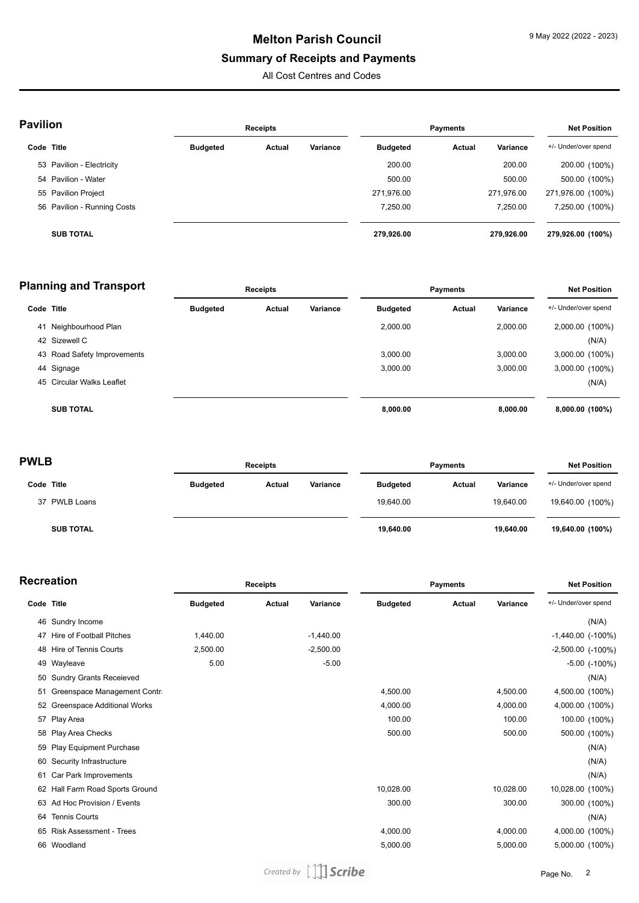## **Melton Parish Council**

### **Summary of Receipts and Payments**

All Cost Centres and Codes

| <b>Pavilion</b> |                             | <b>Receipts</b> |        |          | <b>Payments</b> |        |            | <b>Net Position</b>  |  |
|-----------------|-----------------------------|-----------------|--------|----------|-----------------|--------|------------|----------------------|--|
| Code Title      |                             | <b>Budgeted</b> | Actual | Variance | <b>Budgeted</b> | Actual | Variance   | +/- Under/over spend |  |
|                 | 53 Pavilion - Electricity   |                 |        |          | 200.00          |        | 200.00     | 200.00 (100%)        |  |
|                 | 54 Pavilion - Water         |                 |        |          | 500.00          |        | 500.00     | 500.00 (100%)        |  |
|                 | 55 Pavilion Project         |                 |        |          | 271,976.00      |        | 271,976.00 | 271,976.00 (100%)    |  |
|                 | 56 Pavilion - Running Costs |                 |        |          | 7,250.00        |        | 7,250.00   | 7,250.00 (100%)      |  |
|                 | <b>SUB TOTAL</b>            |                 |        |          | 279,926.00      |        | 279.926.00 | 279,926.00 (100%)    |  |

| <b>Planning and Transport</b> |                             | <b>Receipts</b> |        |          | <b>Payments</b> |        |          | <b>Net Position</b>  |  |
|-------------------------------|-----------------------------|-----------------|--------|----------|-----------------|--------|----------|----------------------|--|
| Code Title                    |                             | <b>Budgeted</b> | Actual | Variance | <b>Budgeted</b> | Actual | Variance | +/- Under/over spend |  |
| 41                            | Neighbourhood Plan          |                 |        |          | 2.000.00        |        | 2,000.00 | 2,000.00 (100%)      |  |
|                               | 42 Sizewell C               |                 |        |          |                 |        |          | (N/A)                |  |
|                               | 43 Road Safety Improvements |                 |        |          | 3.000.00        |        | 3.000.00 | 3,000.00 (100%)      |  |
|                               | 44 Signage                  |                 |        |          | 3.000.00        |        | 3.000.00 | 3,000.00 (100%)      |  |
|                               | 45 Circular Walks Leaflet   |                 |        |          |                 |        |          | (N/A)                |  |
|                               | <b>SUB TOTAL</b>            |                 |        |          | 8,000.00        |        | 8.000.00 | 8,000.00 (100%)      |  |

| <b>PWLB</b>      |                 | <b>Receipts</b> |          |                 | <b>Payments</b> |           | <b>Net Position</b>  |
|------------------|-----------------|-----------------|----------|-----------------|-----------------|-----------|----------------------|
| Code Title       | <b>Budgeted</b> | Actual          | Variance | <b>Budgeted</b> | Actual          | Variance  | +/- Under/over spend |
| 37 PWLB Loans    |                 |                 |          | 19.640.00       |                 | 19.640.00 | 19,640.00 (100%)     |
| <b>SUB TOTAL</b> |                 |                 |          | 19,640.00       |                 | 19,640.00 | 19,640.00 (100%)     |

| Recreation |  |
|------------|--|
|------------|--|

|            | <b>ecreation</b>                |                 | <b>Receipts</b> |             |                 | <b>Payments</b> |           | <b>Net Position</b>      |  |
|------------|---------------------------------|-----------------|-----------------|-------------|-----------------|-----------------|-----------|--------------------------|--|
| Code Title |                                 | <b>Budgeted</b> | Actual          | Variance    | <b>Budgeted</b> | Actual          | Variance  | +/- Under/over spend     |  |
| 46         | Sundry Income                   |                 |                 |             |                 |                 |           | (N/A)                    |  |
| 47         | Hire of Football Pitches        | 1,440.00        |                 | $-1,440.00$ |                 |                 |           | $-1,440.00$ ( $-100\%$ ) |  |
| 48         | <b>Hire of Tennis Courts</b>    | 2,500.00        |                 | $-2,500.00$ |                 |                 |           | $-2,500.00$ $(-100\%)$   |  |
|            | 49 Wayleave                     | 5.00            |                 | $-5.00$     |                 |                 |           | $-5.00$ $(-100\%)$       |  |
| 50         | <b>Sundry Grants Receieved</b>  |                 |                 |             |                 |                 |           | (N/A)                    |  |
| 51         | Greenspace Management Contra    |                 |                 |             | 4,500.00        |                 | 4,500.00  | 4,500.00 (100%)          |  |
| 52         | Greenspace Additional Works     |                 |                 |             | 4,000.00        |                 | 4,000.00  | 4,000.00 (100%)          |  |
|            | 57 Play Area                    |                 |                 |             | 100.00          |                 | 100.00    | 100.00 (100%)            |  |
| 58         | Play Area Checks                |                 |                 |             | 500.00          |                 | 500.00    | 500.00 (100%)            |  |
| 59         | Play Equipment Purchase         |                 |                 |             |                 |                 |           | (N/A)                    |  |
| 60         | Security Infrastructure         |                 |                 |             |                 |                 |           | (N/A)                    |  |
| 61         | Car Park Improvements           |                 |                 |             |                 |                 |           | (N/A)                    |  |
|            | 62 Hall Farm Road Sports Ground |                 |                 |             | 10,028.00       |                 | 10,028.00 | 10,028.00 (100%)         |  |
| 63         | Ad Hoc Provision / Events       |                 |                 |             | 300.00          |                 | 300.00    | 300.00 (100%)            |  |
| 64         | <b>Tennis Courts</b>            |                 |                 |             |                 |                 |           | (N/A)                    |  |
| 65         | <b>Risk Assessment - Trees</b>  |                 |                 |             | 4,000.00        |                 | 4,000.00  | 4,000.00 (100%)          |  |
| 66         | Woodland                        |                 |                 |             | 5,000.00        |                 | 5,000.00  | 5,000.00 (100%)          |  |